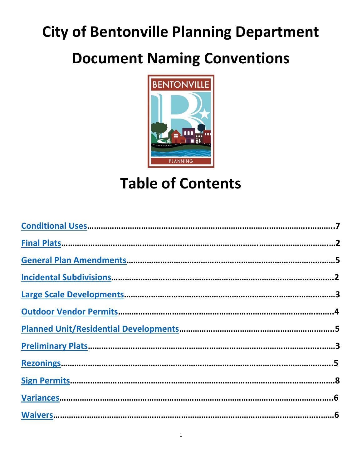# **City of Bentonville Planning Department**

# **Document Naming Conventions**



# **Table of Contents**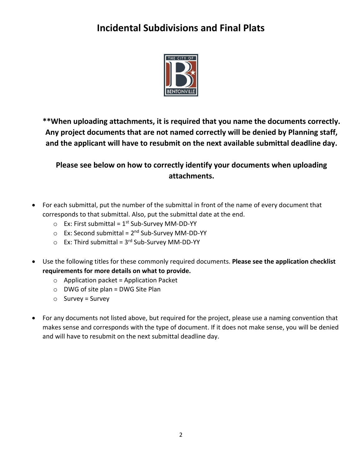### <span id="page-1-0"></span>**Incidental Subdivisions and Final Plats**



**\*\*When uploading attachments, it is required that you name the documents correctly. Any project documents that are not named correctly will be denied by Planning staff, and the applicant will have to resubmit on the next available submittal deadline day.**

- For each submittal, put the number of the submittal in front of the name of every document that corresponds to that submittal. Also, put the submittal date at the end.
	- Ex: First submittal = 1<sup>st</sup> Sub-Survey MM-DD-YY
	- Ex: Second submittal = 2<sup>nd</sup> Sub-Survey MM-DD-YY
	- Ex: Third submittal = 3<sup>rd</sup> Sub-Survey MM-DD-YY
- Use the following titles for these commonly required documents. **Please see the application checklist requirements for more details on what to provide.**
	- $\circ$  Application packet = Application Packet
	- $\circ$  DWG of site plan = DWG Site Plan
	- $\circ$  Survey = Survey
- For any documents not listed above, but required for the project, please use a naming convention that makes sense and corresponds with the type of document. If it does not make sense, you will be denied and will have to resubmit on the next submittal deadline day.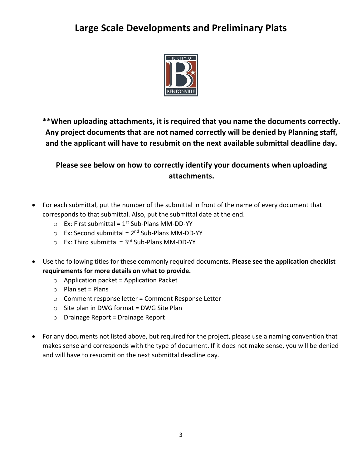#### <span id="page-2-0"></span>**Large Scale Developments and Preliminary Plats**



**\*\*When uploading attachments, it is required that you name the documents correctly. Any project documents that are not named correctly will be denied by Planning staff, and the applicant will have to resubmit on the next available submittal deadline day.**

- For each submittal, put the number of the submittal in front of the name of every document that corresponds to that submittal. Also, put the submittal date at the end.
	- $\circ$  Ex: First submittal = 1<sup>st</sup> Sub-Plans MM-DD-YY
	- Ex: Second submittal = 2<sup>nd</sup> Sub-Plans MM-DD-YY
	- $\circ$  Ex: Third submittal = 3<sup>rd</sup> Sub-Plans MM-DD-YY
- Use the following titles for these commonly required documents. **Please see the application checklist requirements for more details on what to provide.**
	- $\circ$  Application packet = Application Packet
	- $\circ$  Plan set = Plans
	- o Comment response letter = Comment Response Letter
	- $\circ$  Site plan in DWG format = DWG Site Plan
	- o Drainage Report = Drainage Report
- For any documents not listed above, but required for the project, please use a naming convention that makes sense and corresponds with the type of document. If it does not make sense, you will be denied and will have to resubmit on the next submittal deadline day.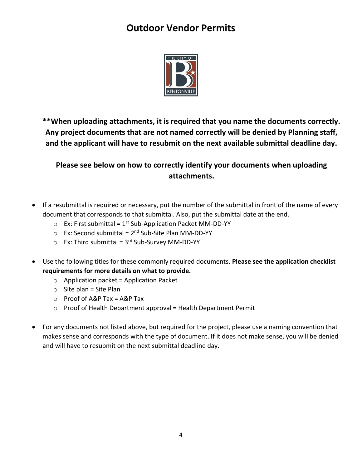#### **Outdoor Vendor Permits**



<span id="page-3-0"></span>**\*\*When uploading attachments, it is required that you name the documents correctly. Any project documents that are not named correctly will be denied by Planning staff, and the applicant will have to resubmit on the next available submittal deadline day.**

- If a resubmittal is required or necessary, put the number of the submittal in front of the name of every document that corresponds to that submittal. Also, put the submittal date at the end.
	- $\circ$  Ex: First submittal = 1<sup>st</sup> Sub-Application Packet MM-DD-YY
	- Ex: Second submittal = 2<sup>nd</sup> Sub-Site Plan MM-DD-YY
	- Ex: Third submittal = 3<sup>rd</sup> Sub-Survey MM-DD-YY
- Use the following titles for these commonly required documents. **Please see the application checklist requirements for more details on what to provide.**
	- $\circ$  Application packet = Application Packet
	- $\circ$  Site plan = Site Plan
	- o Proof of A&P Tax = A&P Tax
	- $\circ$  Proof of Health Department approval = Health Department Permit
- For any documents not listed above, but required for the project, please use a naming convention that makes sense and corresponds with the type of document. If it does not make sense, you will be denied and will have to resubmit on the next submittal deadline day.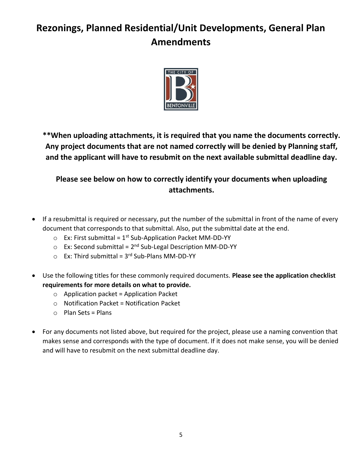## <span id="page-4-0"></span>**Rezonings, Planned Residential/Unit Developments, General Plan Amendments**



**\*\*When uploading attachments, it is required that you name the documents correctly. Any project documents that are not named correctly will be denied by Planning staff, and the applicant will have to resubmit on the next available submittal deadline day.**

- If a resubmittal is required or necessary, put the number of the submittal in front of the name of every document that corresponds to that submittal. Also, put the submittal date at the end.
	- $\circ$  Ex: First submittal = 1<sup>st</sup> Sub-Application Packet MM-DD-YY
	- Ex: Second submittal = 2<sup>nd</sup> Sub-Legal Description MM-DD-YY
	- Ex: Third submittal = 3<sup>rd</sup> Sub-Plans MM-DD-YY
- Use the following titles for these commonly required documents. **Please see the application checklist requirements for more details on what to provide.**
	- $\circ$  Application packet = Application Packet
	- $\circ$  Notification Packet = Notification Packet
	- $\circ$  Plan Sets = Plans
- For any documents not listed above, but required for the project, please use a naming convention that makes sense and corresponds with the type of document. If it does not make sense, you will be denied and will have to resubmit on the next submittal deadline day.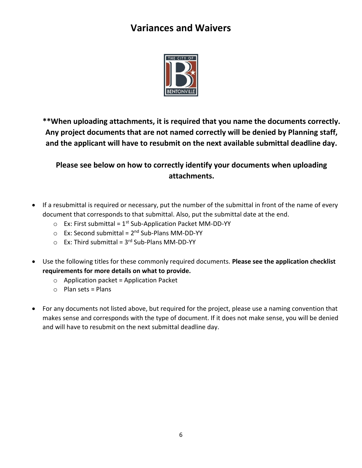#### **Variances and Waivers**



<span id="page-5-0"></span>**\*\*When uploading attachments, it is required that you name the documents correctly. Any project documents that are not named correctly will be denied by Planning staff, and the applicant will have to resubmit on the next available submittal deadline day.**

- If a resubmittal is required or necessary, put the number of the submittal in front of the name of every document that corresponds to that submittal. Also, put the submittal date at the end.
	- $\circ$  Ex: First submittal = 1<sup>st</sup> Sub-Application Packet MM-DD-YY
	- Ex: Second submittal = 2<sup>nd</sup> Sub-Plans MM-DD-YY
	- $\circ$  Ex: Third submittal = 3<sup>rd</sup> Sub-Plans MM-DD-YY
- Use the following titles for these commonly required documents. **Please see the application checklist requirements for more details on what to provide.**
	- $\circ$  Application packet = Application Packet
	- $\circ$  Plan sets = Plans
- For any documents not listed above, but required for the project, please use a naming convention that makes sense and corresponds with the type of document. If it does not make sense, you will be denied and will have to resubmit on the next submittal deadline day.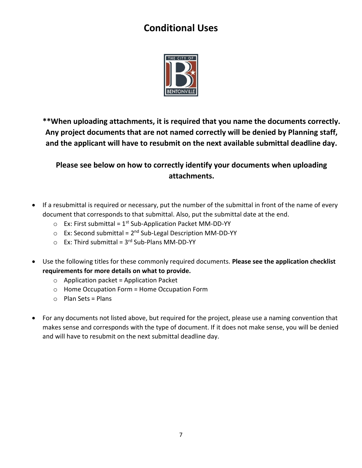### **Conditional Uses**



<span id="page-6-0"></span>**\*\*When uploading attachments, it is required that you name the documents correctly. Any project documents that are not named correctly will be denied by Planning staff, and the applicant will have to resubmit on the next available submittal deadline day.**

- If a resubmittal is required or necessary, put the number of the submittal in front of the name of every document that corresponds to that submittal. Also, put the submittal date at the end.
	- $\circ$  Ex: First submittal = 1<sup>st</sup> Sub-Application Packet MM-DD-YY
	- Ex: Second submittal = 2<sup>nd</sup> Sub-Legal Description MM-DD-YY
	- $\circ$  Ex: Third submittal = 3<sup>rd</sup> Sub-Plans MM-DD-YY
- Use the following titles for these commonly required documents. **Please see the application checklist requirements for more details on what to provide.**
	- $\circ$  Application packet = Application Packet
	- o Home Occupation Form = Home Occupation Form
	- $\circ$  Plan Sets = Plans
- For any documents not listed above, but required for the project, please use a naming convention that makes sense and corresponds with the type of document. If it does not make sense, you will be denied and will have to resubmit on the next submittal deadline day.